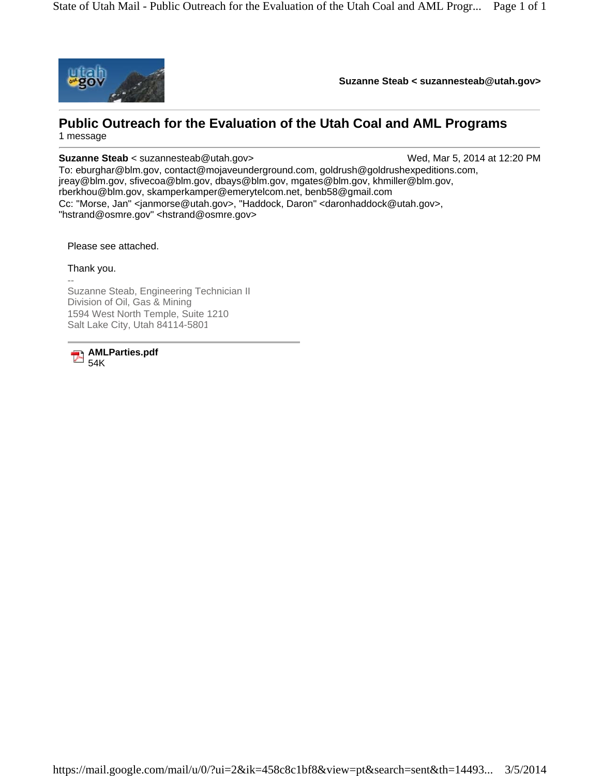

**Suzanne Steab < suzannesteab@utah.gov>** 

## **Public Outreach for the Evaluation of the Utah Coal and AML Programs** 1 message

**Suzanne Steab** < suzannesteab@utah.gov> Wed, Mar 5, 2014 at 12:20 PM

To: eburghar@blm.gov, contact@mojaveunderground.com, goldrush@goldrushexpeditions.com, jreay@blm.gov, sfivecoa@blm.gov, dbays@blm.gov, mgates@blm.gov, khmiller@blm.gov, rberkhou@blm.gov, skamperkamper@emerytelcom.net, benb58@gmail.com Cc: "Morse, Jan" <janmorse@utah.gov>, "Haddock, Daron" <daronhaddock@utah.gov>, "hstrand@osmre.gov" <hstrand@osmre.gov>

Please see attached.

Thank you.

-- Suzanne Steab, Engineering Technician II Division of Oil, Gas & Mining 1594 West North Temple, Suite 1210 Salt Lake City, Utah 84114-5801

**AMLParties.pdf**  $\overline{\phantom{a}}$ 54K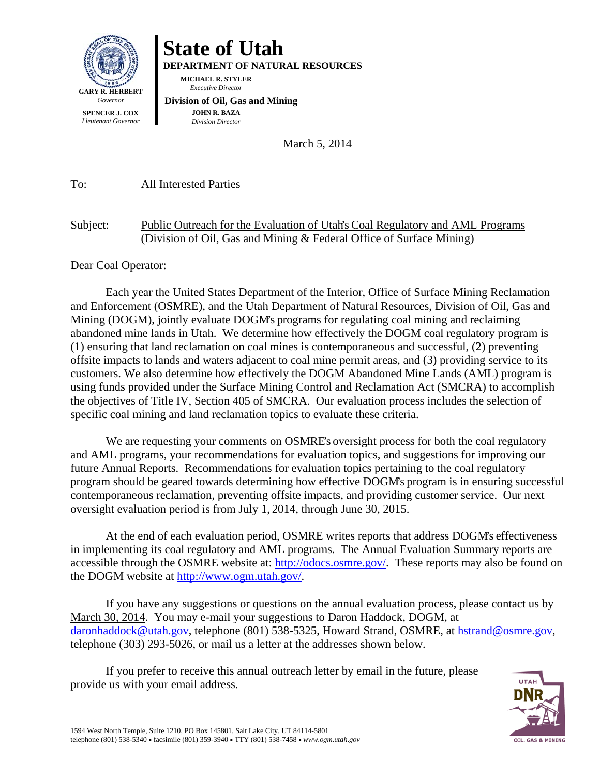

## **State of Utah**

**DEPARTMENT OF NATURAL RESOURCES** 

**MICHAEL R. STYLER**   *Executive Director* 

 **Division of Oil, Gas and Mining JOHN R. BAZA**  *Division Director*

March 5, 2014

To: All Interested Parties

## Subject: Public Outreach for the Evaluation of Utah's Coal Regulatory and AML Programs (Division of Oil, Gas and Mining & Federal Office of Surface Mining)

Dear Coal Operator:

Each year the United States Department of the Interior, Office of Surface Mining Reclamation and Enforcement (OSMRE), and the Utah Department of Natural Resources, Division of Oil, Gas and Mining (DOGM), jointly evaluate DOGM's programs for regulating coal mining and reclaiming abandoned mine lands in Utah. We determine how effectively the DOGM coal regulatory program is (1) ensuring that land reclamation on coal mines is contemporaneous and successful, (2) preventing offsite impacts to lands and waters adjacent to coal mine permit areas, and (3) providing service to its customers. We also determine how effectively the DOGM Abandoned Mine Lands (AML) program is using funds provided under the Surface Mining Control and Reclamation Act (SMCRA) to accomplish the objectives of Title IV, Section 405 of SMCRA. Our evaluation process includes the selection of specific coal mining and land reclamation topics to evaluate these criteria.

We are requesting your comments on OSMRE's oversight process for both the coal regulatory and AML programs, your recommendations for evaluation topics, and suggestions for improving our future Annual Reports. Recommendations for evaluation topics pertaining to the coal regulatory program should be geared towards determining how effective DOGM's program is in ensuring successful contemporaneous reclamation, preventing offsite impacts, and providing customer service. Our next oversight evaluation period is from July 1, 2014, through June 30, 2015.

At the end of each evaluation period, OSMRE writes reports that address DOGM's effectiveness in implementing its coal regulatory and AML programs. The Annual Evaluation Summary reports are accessible through the OSMRE website at: http://odocs.osmre.gov/. These reports may also be found on the DOGM website at http://www.ogm.utah.gov/.

If you have any suggestions or questions on the annual evaluation process, please contact us by March 30, 2014. You may e-mail your suggestions to Daron Haddock, DOGM, at daronhaddock@utah.gov, telephone (801) 538-5325, Howard Strand, OSMRE, at hstrand@osmre.gov, telephone (303) 293-5026, or mail us a letter at the addresses shown below.

If you prefer to receive this annual outreach letter by email in the future, please provide us with your email address.